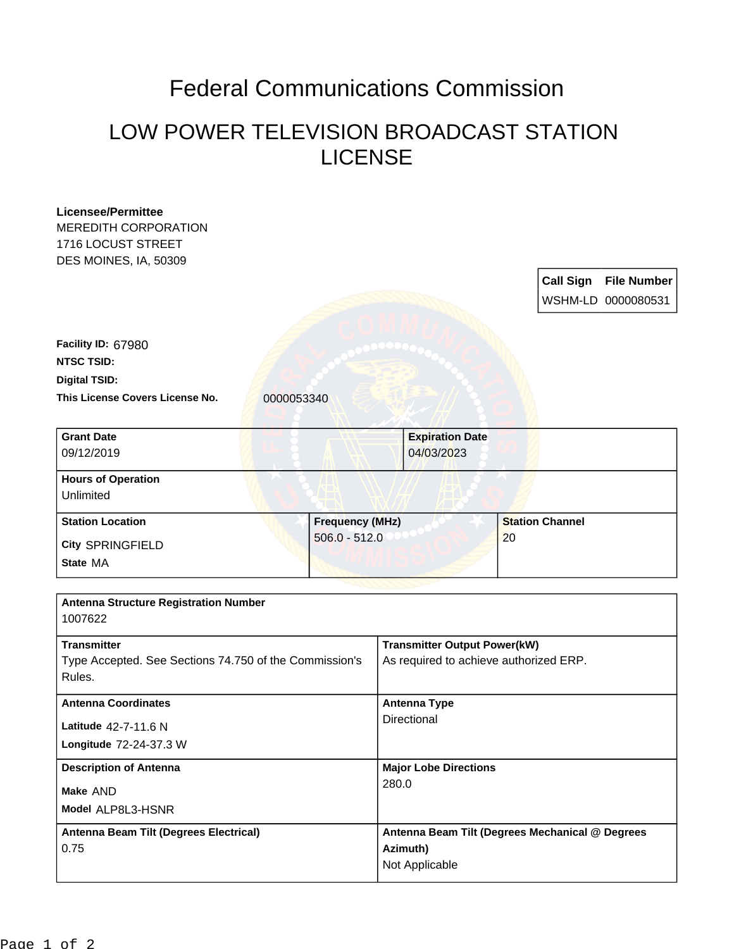## Federal Communications Commission

## LOW POWER TELEVISION BROADCAST STATION LICENSE

| <b>Licensee/Permittee</b><br><b>MEREDITH CORPORATION</b><br>1716 LOCUST STREET<br>DES MOINES, IA, 50309 |                        |                                                                               | <b>Call Sign</b><br><b>File Number</b> |  |
|---------------------------------------------------------------------------------------------------------|------------------------|-------------------------------------------------------------------------------|----------------------------------------|--|
|                                                                                                         |                        |                                                                               | WSHM-LD 0000080531                     |  |
| Facility ID: 67980                                                                                      |                        |                                                                               |                                        |  |
| <b>NTSC TSID:</b>                                                                                       |                        |                                                                               |                                        |  |
| <b>Digital TSID:</b>                                                                                    |                        |                                                                               |                                        |  |
| This License Covers License No.                                                                         | 0000053340             |                                                                               |                                        |  |
| <b>Grant Date</b><br>09/12/2019                                                                         |                        | <b>Expiration Date</b><br>04/03/2023                                          |                                        |  |
| <b>Hours of Operation</b><br>Unlimited                                                                  |                        |                                                                               |                                        |  |
| <b>Station Location</b>                                                                                 | <b>Frequency (MHz)</b> |                                                                               | <b>Station Channel</b>                 |  |
| <b>City SPRINGFIELD</b>                                                                                 | $506.0 - 512.0$        |                                                                               | 20                                     |  |
| State MA                                                                                                |                        |                                                                               |                                        |  |
| <b>Antenna Structure Registration Number</b><br>1007622                                                 |                        |                                                                               |                                        |  |
| <b>Transmitter</b><br>Type Accepted. See Sections 74.750 of the Commission's<br>Rules.                  |                        | <b>Transmitter Output Power(kW)</b><br>As required to achieve authorized ERP. |                                        |  |
| <b>Antenna Coordinates</b>                                                                              |                        | <b>Antenna Type</b>                                                           |                                        |  |
| Latitude 42-7-11.6 N<br>Longitude 72-24-37.3 W                                                          |                        | Directional                                                                   |                                        |  |
| <b>Description of Antenna</b><br>Make AND                                                               |                        | <b>Major Lobe Directions</b>                                                  |                                        |  |
|                                                                                                         |                        | 280.0                                                                         |                                        |  |
| Model ALP8L3-HSNR                                                                                       |                        |                                                                               |                                        |  |
| Antenna Beam Tilt (Degrees Electrical)<br>0.75                                                          |                        | Antenna Beam Tilt (Degrees Mechanical @ Degrees<br>Azimuth)<br>Not Applicable |                                        |  |